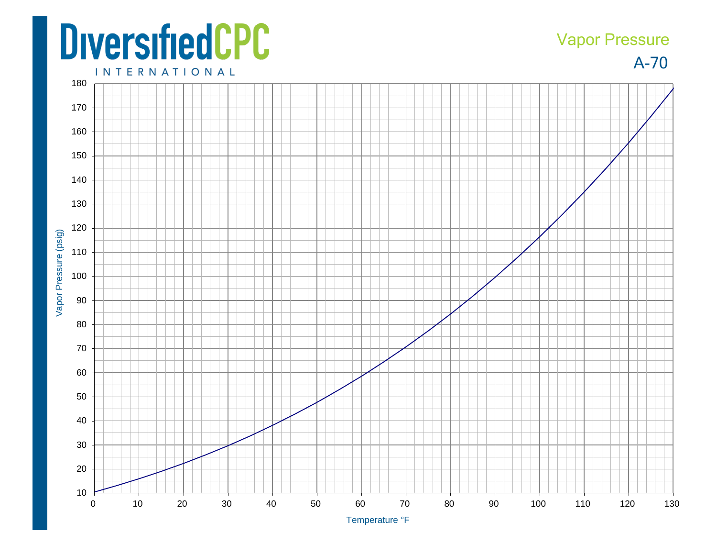## **DiversifiedCPC**

## A-70 Vapor Pressure

**INTERNATIONAL**